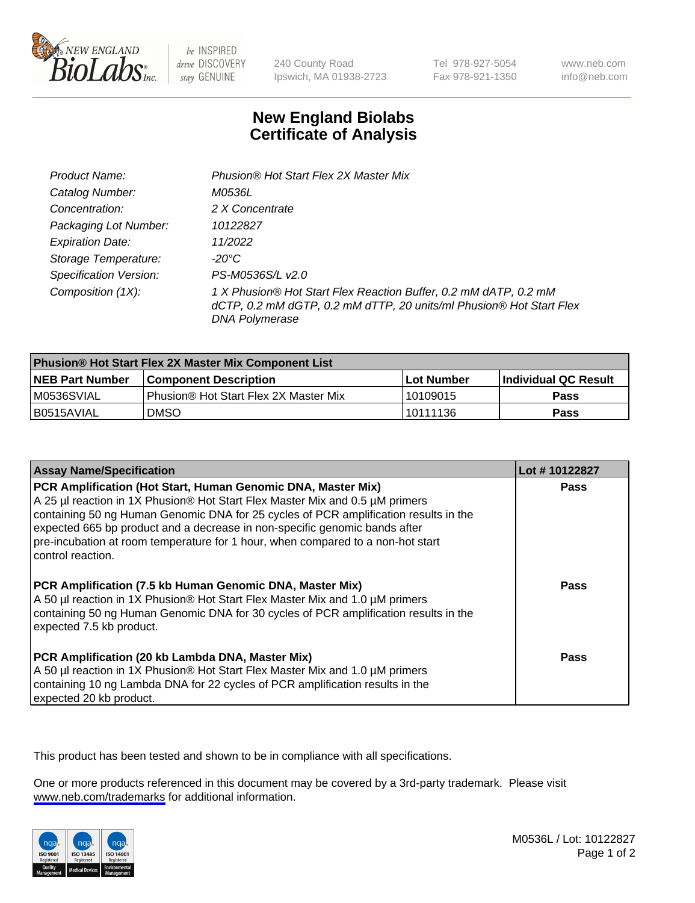

be INSPIRED drive DISCOVERY stay GENUINE

240 County Road Ipswich, MA 01938-2723 Tel 978-927-5054 Fax 978-921-1350

www.neb.com info@neb.com

## **New England Biolabs Certificate of Analysis**

| Product Name:                 | Phusion® Hot Start Flex 2X Master Mix                                                                                                                     |
|-------------------------------|-----------------------------------------------------------------------------------------------------------------------------------------------------------|
| Catalog Number:               | M0536L                                                                                                                                                    |
| Concentration:                | 2 X Concentrate                                                                                                                                           |
| Packaging Lot Number:         | 10122827                                                                                                                                                  |
| <b>Expiration Date:</b>       | 11/2022                                                                                                                                                   |
| Storage Temperature:          | -20°C                                                                                                                                                     |
| <b>Specification Version:</b> | PS-M0536S/L v2.0                                                                                                                                          |
| Composition (1X):             | 1 X Phusion® Hot Start Flex Reaction Buffer, 0.2 mM dATP, 0.2 mM<br>dCTP, 0.2 mM dGTP, 0.2 mM dTTP, 20 units/ml Phusion® Hot Start Flex<br>DNA Polymerase |

| <b>Phusion® Hot Start Flex 2X Master Mix Component List</b> |                                       |            |                             |  |
|-------------------------------------------------------------|---------------------------------------|------------|-----------------------------|--|
| <b>NEB Part Number</b>                                      | <b>Component Description</b>          | Lot Number | <b>Individual QC Result</b> |  |
| IM0536SVIAL                                                 | Phusion® Hot Start Flex 2X Master Mix | l 10109015 | <b>Pass</b>                 |  |
| I B0515AVIAL                                                | DMSO                                  | 10111136   | Pass                        |  |

| <b>Assay Name/Specification</b>                                                                                                                                                                                                                                                                                                                                                                                            | Lot #10122827 |
|----------------------------------------------------------------------------------------------------------------------------------------------------------------------------------------------------------------------------------------------------------------------------------------------------------------------------------------------------------------------------------------------------------------------------|---------------|
| PCR Amplification (Hot Start, Human Genomic DNA, Master Mix)<br>A 25 µl reaction in 1X Phusion® Hot Start Flex Master Mix and 0.5 µM primers<br>containing 50 ng Human Genomic DNA for 25 cycles of PCR amplification results in the<br>expected 665 bp product and a decrease in non-specific genomic bands after<br>pre-incubation at room temperature for 1 hour, when compared to a non-hot start<br>control reaction. | <b>Pass</b>   |
| PCR Amplification (7.5 kb Human Genomic DNA, Master Mix)<br>A 50 µl reaction in 1X Phusion® Hot Start Flex Master Mix and 1.0 µM primers<br>containing 50 ng Human Genomic DNA for 30 cycles of PCR amplification results in the<br>expected 7.5 kb product.                                                                                                                                                               | Pass          |
| PCR Amplification (20 kb Lambda DNA, Master Mix)<br>A 50 µl reaction in 1X Phusion® Hot Start Flex Master Mix and 1.0 µM primers<br>containing 10 ng Lambda DNA for 22 cycles of PCR amplification results in the<br>expected 20 kb product.                                                                                                                                                                               | Pass          |

This product has been tested and shown to be in compliance with all specifications.

One or more products referenced in this document may be covered by a 3rd-party trademark. Please visit <www.neb.com/trademarks>for additional information.